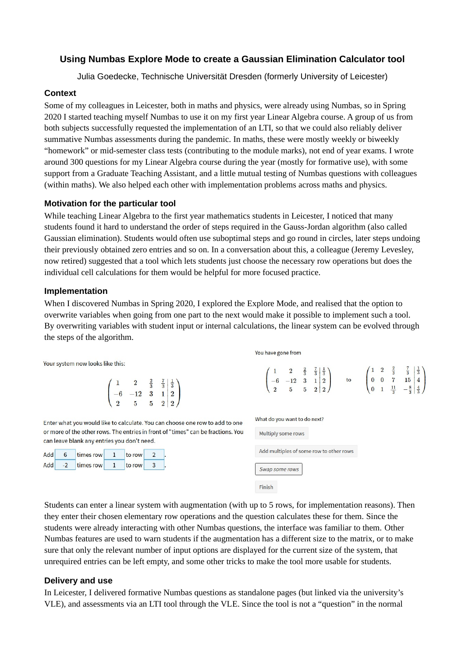# **Using Numbas Explore Mode to create a Gaussian Elimination Calculator tool**

Julia Goedecke, Technische Universität Dresden (formerly University of Leicester)

#### **Context**

Some of my colleagues in Leicester, both in maths and physics, were already using Numbas, so in Spring 2020 I started teaching myself Numbas to use it on my first year Linear Algebra course. A group of us from both subjects successfully requested the implementation of an LTI, so that we could also reliably deliver summative Numbas assessments during the pandemic. In maths, these were mostly weekly or biweekly "homework" or mid-semester class tests (contributing to the module marks), not end of year exams. I wrote around 300 questions for my Linear Algebra course during the year (mostly for formative use), with some support from a Graduate Teaching Assistant, and a little mutual testing of Numbas questions with colleagues (within maths). We also helped each other with implementation problems across maths and physics.

### **Motivation for the particular tool**

While teaching Linear Algebra to the first year mathematics students in Leicester, I noticed that many students found it hard to understand the order of steps required in the Gauss-Jordan algorithm (also called Gaussian elimination). Students would often use suboptimal steps and go round in circles, later steps undoing their previously obtained zero entries and so on. In a conversation about this, a colleague (Jeremy Levesley, now retired) suggested that a tool which lets students just choose the necessary row operations but does the individual cell calculations for them would be helpful for more focused practice.

#### **Implementation**

When I discovered Numbas in Spring 2020, I explored the Explore Mode, and realised that the option to overwrite variables when going from one part to the next would make it possible to implement such a tool. By overwriting variables with student input or internal calculations, the linear system can be evolved through the steps of the algorithm.

Your system now looks like this:

|          |       |  | $\begin{array}{c c}\n\frac{2}{3} & \frac{7}{3} & \frac{1}{3} \\ 3 & 1 & 2 \\ 5 & 2 & 2\n\end{array}$ |  |
|----------|-------|--|------------------------------------------------------------------------------------------------------|--|
|          | $-12$ |  |                                                                                                      |  |
| $\Omega$ | 5     |  |                                                                                                      |  |

Enter what you would like to calculate. You can choose one row to add to one or more of the other rows. The entries in front of "times" can be fractions. You can leave blank any entries you don't need.

| Add              | 6 | times row    | to row |  |
|------------------|---|--------------|--------|--|
| Add <sup> </sup> |   | -2 times row | to row |  |

| What do you want to do next?            |
|-----------------------------------------|
| Multiply some rows                      |
| Add multiples of some row to other rows |
| Swap some rows                          |
| Finish                                  |

 $\begin{pmatrix} 1 & 2 & \frac{2}{3} & \frac{7}{3} & \frac{1}{3} \\ -6 & -12 & 3 & 1 & 2 \\ 2 & 5 & 5 & 2 & 2 \end{pmatrix}$  to  $\begin{pmatrix} 1 & 2 & \frac{2}{3} & \frac{7}{3} & \frac{1}{3} \\ 0 & 0 & 7 & 15 & 4 \\ 0 & 1 & \frac{11}{3} & -\frac{8}{3} & \frac{4}{3} \end{pmatrix}$ 

You have gone from

Students can enter a linear system with augmentation (with up to 5 rows, for implementation reasons). Then they enter their chosen elementary row operations and the question calculates these for them. Since the students were already interacting with other Numbas questions, the interface was familiar to them. Other Numbas features are used to warn students if the augmentation has a different size to the matrix, or to make sure that only the relevant number of input options are displayed for the current size of the system, that unrequired entries can be left empty, and some other tricks to make the tool more usable for students.

### **Delivery and use**

In Leicester, I delivered formative Numbas questions as standalone pages (but linked via the university's VLE), and assessments via an LTI tool through the VLE. Since the tool is not a "question" in the normal